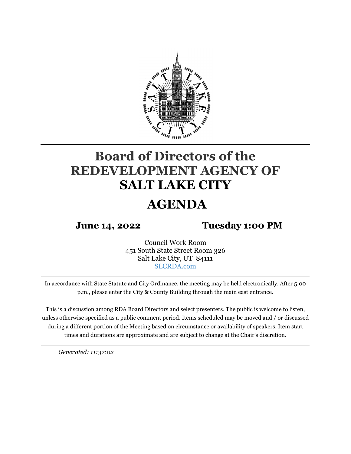

# **Board of Directors of the REDEVELOPMENT AGENCY OF SALT LAKE CITY**

# **AGENDA**

**June 14, 2022 Tuesday 1:00 PM**

Council Work Room 451 South State Street Room 326 Salt Lake City, UT 84111 [SLCRDA.com](http://www.slcrda.com/16board.htm)

In accordance with State Statute and City Ordinance, the meeting may be held electronically. After 5:00 p.m., please enter the City & County Building through the main east entrance.

This is a discussion among RDA Board Directors and select presenters. The public is welcome to listen, unless otherwise specified as a public comment period. Items scheduled may be moved and / or discussed during a different portion of the Meeting based on circumstance or availability of speakers. Item start times and durations are approximate and are subject to change at the Chair's discretion.

*Generated: 11:37:02*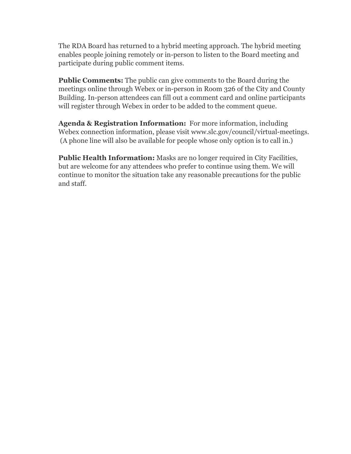The RDA Board has returned to a hybrid meeting approach. The hybrid meeting enables people joining remotely or in-person to listen to the Board meeting and participate during public comment items.

**Public Comments:** The public can give comments to the Board during the meetings online through Webex or in-person in Room 326 of the City and County Building. In-person attendees can fill out a comment card and online participants will register through Webex in order to be added to the comment queue.

**Agenda & Registration Information:** For more information, including Webex connection information, please visit www.slc.gov/council/virtual-meetings. (A phone line will also be available for people whose only option is to call in.)

**Public Health Information:** Masks are no longer required in City Facilities, but are welcome for any attendees who prefer to continue using them. We will continue to monitor the situation take any reasonable precautions for the public and staff.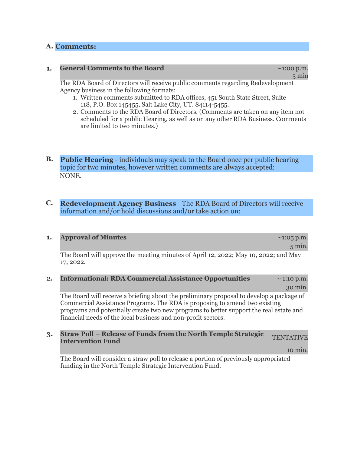## **A. Comments:**

### **1. General Comments to the Board 1.1.200 p.m.** *CODERCO <b>21:00 p.m.*

5 min

The RDA Board of Directors will receive public comments regarding Redevelopment Agency business in the following formats:

- 1. Written comments submitted to RDA offices, 451 South State Street, Suite 118, P.O. Box 145455, Salt Lake City, UT. 84114-5455.
- 2. Comments to the RDA Board of Directors. (Comments are taken on any item not scheduled for a public Hearing, as well as on any other RDA Business. Comments are limited to two minutes.)
- **B. Public Hearing** individuals may speak to the Board once per public hearing topic for two minutes, however written comments are always accepted: NONE.

### **C. Redevelopment Agency Business** - The RDA Board of Directors will receive information and/or hold discussions and/or take action on:

#### **1. Approval of Minutes and The Community Community Association 21:05 p.m.**

5 min.

The Board will approve the meeting minutes of April 12, 2022; May 10, 2022; and May 17, 2022.

**2. Informational: RDA Commercial Assistance Opportunities** ~ 1:10 p.m. 30 min.

The Board will receive a briefing about the preliminary proposal to develop a package of Commercial Assistance Programs. The RDA is proposing to amend two existing programs and potentially create two new programs to better support the real estate and financial needs of the local business and non-profit sectors.

# **3. Straw Poll – Release of Funds from the North Temple Strategic TENTATIVE Intervention Fund**

10 min.

The Board will consider a straw poll to release a portion of previously appropriated funding in the North Temple Strategic Intervention Fund.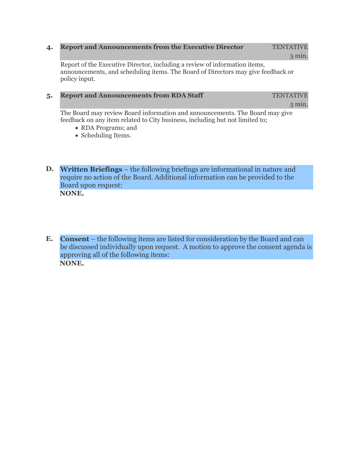## **4. Report and Announcements from the Executive Director** TENTATIVE

5 min.

Report of the Executive Director, including a review of information items, announcements, and scheduling items. The Board of Directors may give feedback or policy input.

### **5. Report and Announcements from RDA Staff** TENTATIVE

5 min.

The Board may review Board information and announcements. The Board may give feedback on any item related to City business, including but not limited to;

- RDA Programs; and
- Scheduling Items.
- **D. Written Briefings** the following briefings are informational in nature and require no action of the Board. Additional information can be provided to the Board upon request: **NONE.**

**E. Consent** – the following items are listed for consideration by the Board and can be discussed individually upon request. A motion to approve the consent agenda is approving all of the following items: **NONE.**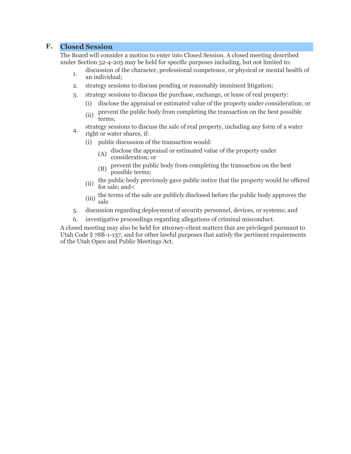## **F. Closed Session**

The Board will consider a motion to enter into Closed Session. A closed meeting described under Section 52-4-205 may be held for specific purposes including, but not limited to:

- 1. discussion of the character, professional competence, or physical or mental health of an individual;
- 2. strategy sessions to discuss pending or reasonably imminent litigation;
- 3. strategy sessions to discuss the purchase, exchange, or lease of real property:
	- (i) disclose the appraisal or estimated value of the property under consideration; or
	- (ii) prevent the public body from completing the transaction on the best possible terms;
- strategy sessions to discuss the sale of real property, including any form of a water<br>4. wight enveloped if. right or water shares, if:
	- (i) public discussion of the transaction would:
		- (A) disclose the appraisal or estimated value of the property under consideration; or
		- (B) prevent the public body from completing the transaction on the best possible terms;
	- (ii) the public body previously gave public notice that the property would be offered for sale; and<
	- (iii) the terms of the sale are publicly disclosed before the public body approves the sale
- 5. discussion regarding deployment of security personnel, devices, or systems; and
- 6. investigative proceedings regarding allegations of criminal misconduct.

A closed meeting may also be held for attorney-client matters that are privileged pursuant to Utah Code § 78B-1-137, and for other lawful purposes that satisfy the pertinent requirements of the Utah Open and Public Meetings Act.